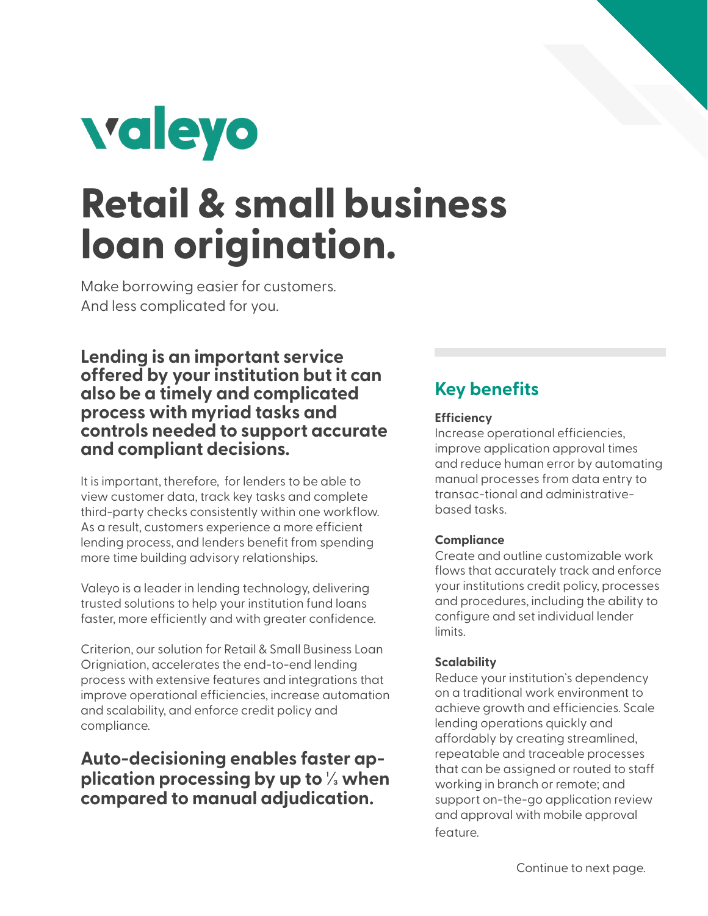

# **Retail & small business loan origination.**

Make borrowing easier for customers. And less complicated for you.

**Lending is an important service offered by your institution but it can also be a timely and complicated process with myriad tasks and controls needed to support accurate and compliant decisions.** 

It is important, therefore, for lenders to be able to view customer data, track key tasks and complete third-party checks consistently within one workflow. As a result, customers experience a more efficient lending process, and lenders benefit from spending more time building advisory relationships.

Valeyo is a leader in lending technology, delivering trusted solutions to help your institution fund loans faster, more efficiently and with greater confidence.

Criterion, our solution for Retail & Small Business Loan Origniation, accelerates the end-to-end lending process with extensive features and integrations that improve operational efficiencies, increase automation and scalability, and enforce credit policy and compliance.

# **Auto-decisioning enables faster application processing by up to 1⁄3 when compared to manual adjudication.**

# **Key benefits**

#### **Efficiency**

Increase operational efficiencies, improve application approval times and reduce human error by automating manual processes from data entry to transac-tional and administrativebased tasks.

#### **Compliance**

Create and outline customizable work flows that accurately track and enforce your institutions credit policy, processes and procedures, including the ability to configure and set individual lender limits.

#### **Scalability**

Reduce your institution`s dependency on a traditional work environment to achieve growth and efficiencies. Scale lending operations quickly and affordably by creating streamlined, repeatable and traceable processes that can be assigned or routed to staff working in branch or remote; and support on-the-go application review and approval with mobile approval feature.